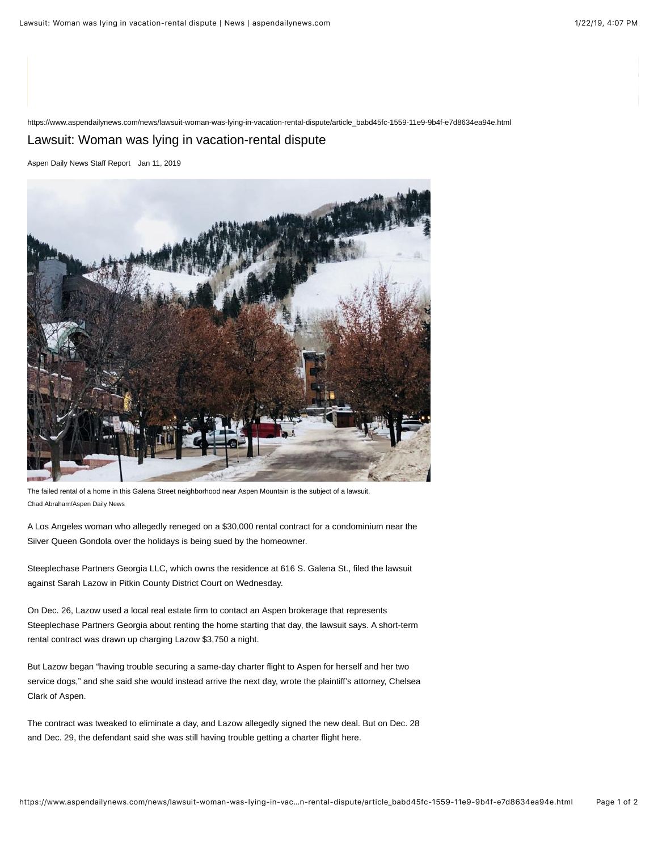https://www.aspendailynews.com/news/lawsuit-woman-was-lying-in-vacation-rental-dispute/article\_babd45fc-1559-11e9-9b4f-e7d8634ea94e.html

## Lawsuit: Woman was lying in vacation-rental dispute

Aspen Daily News Staff Report Jan 11, 2019



The failed rental of a home in this Galena Street neighborhood near Aspen Mountain is the subject of a lawsuit. Chad Abraham/Aspen Daily News

A Los Angeles woman who allegedly reneged on a \$30,000 rental contract for a condominium near the Silver Queen Gondola over the holidays is being sued by the homeowner.

Steeplechase Partners Georgia LLC, which owns the residence at 616 S. Galena St., filed the lawsuit against Sarah Lazow in Pitkin County District Court on Wednesday.

On Dec. 26, Lazow used a local real estate firm to contact an Aspen brokerage that represents Steeplechase Partners Georgia about renting the home starting that day, the lawsuit says. A short-term rental contract was drawn up charging Lazow \$3,750 a night.

But Lazow began "having trouble securing a same-day charter flight to Aspen for herself and her two service dogs," and she said she would instead arrive the next day, wrote the plaintiff's attorney, Chelsea Clark of Aspen.

The contract was tweaked to eliminate a day, and Lazow allegedly signed the new deal. But on Dec. 28 and Dec. 29, the defendant said she was still having trouble getting a charter flight here.